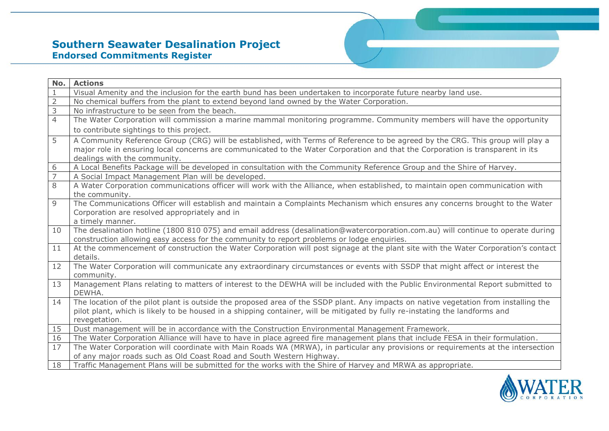## **Southern Seawater Desalination Project Endorsed Commitments Register**

| Visual Amenity and the inclusion for the earth bund has been undertaken to incorporate future nearby land use.<br>$\overline{2}$<br>No chemical buffers from the plant to extend beyond land owned by the Water Corporation.<br>$\overline{3}$<br>No infrastructure to be seen from the beach.<br>$\overline{4}$<br>The Water Corporation will commission a marine mammal monitoring programme. Community members will have the opportunity |  |
|---------------------------------------------------------------------------------------------------------------------------------------------------------------------------------------------------------------------------------------------------------------------------------------------------------------------------------------------------------------------------------------------------------------------------------------------|--|
|                                                                                                                                                                                                                                                                                                                                                                                                                                             |  |
|                                                                                                                                                                                                                                                                                                                                                                                                                                             |  |
|                                                                                                                                                                                                                                                                                                                                                                                                                                             |  |
|                                                                                                                                                                                                                                                                                                                                                                                                                                             |  |
| to contribute sightings to this project.                                                                                                                                                                                                                                                                                                                                                                                                    |  |
| 5<br>A Community Reference Group (CRG) will be established, with Terms of Reference to be agreed by the CRG. This group will play a                                                                                                                                                                                                                                                                                                         |  |
| major role in ensuring local concerns are communicated to the Water Corporation and that the Corporation is transparent in its                                                                                                                                                                                                                                                                                                              |  |
| dealings with the community.                                                                                                                                                                                                                                                                                                                                                                                                                |  |
| A Local Benefits Package will be developed in consultation with the Community Reference Group and the Shire of Harvey.<br>6                                                                                                                                                                                                                                                                                                                 |  |
| $\overline{7}$<br>A Social Impact Management Plan will be developed.                                                                                                                                                                                                                                                                                                                                                                        |  |
| 8<br>A Water Corporation communications officer will work with the Alliance, when established, to maintain open communication with                                                                                                                                                                                                                                                                                                          |  |
| the community.                                                                                                                                                                                                                                                                                                                                                                                                                              |  |
| The Communications Officer will establish and maintain a Complaints Mechanism which ensures any concerns brought to the Water<br>9                                                                                                                                                                                                                                                                                                          |  |
| Corporation are resolved appropriately and in                                                                                                                                                                                                                                                                                                                                                                                               |  |
| a timely manner.                                                                                                                                                                                                                                                                                                                                                                                                                            |  |
| The desalination hotline (1800 810 075) and email address (desalination@watercorporation.com.au) will continue to operate during<br>10<br>construction allowing easy access for the community to report problems or lodge enquiries.                                                                                                                                                                                                        |  |
| At the commencement of construction the Water Corporation will post signage at the plant site with the Water Corporation's contact<br>11                                                                                                                                                                                                                                                                                                    |  |
| details.                                                                                                                                                                                                                                                                                                                                                                                                                                    |  |
| The Water Corporation will communicate any extraordinary circumstances or events with SSDP that might affect or interest the<br>12                                                                                                                                                                                                                                                                                                          |  |
| community.                                                                                                                                                                                                                                                                                                                                                                                                                                  |  |
| Management Plans relating to matters of interest to the DEWHA will be included with the Public Environmental Report submitted to<br>13                                                                                                                                                                                                                                                                                                      |  |
| DEWHA.                                                                                                                                                                                                                                                                                                                                                                                                                                      |  |
| The location of the pilot plant is outside the proposed area of the SSDP plant. Any impacts on native vegetation from installing the<br>14                                                                                                                                                                                                                                                                                                  |  |
| pilot plant, which is likely to be housed in a shipping container, will be mitigated by fully re-instating the landforms and                                                                                                                                                                                                                                                                                                                |  |
| revegetation.                                                                                                                                                                                                                                                                                                                                                                                                                               |  |
| Dust management will be in accordance with the Construction Environmental Management Framework.<br>15                                                                                                                                                                                                                                                                                                                                       |  |
| The Water Corporation Alliance will have to have in place agreed fire management plans that include FESA in their formulation.<br>16                                                                                                                                                                                                                                                                                                        |  |
| 17<br>The Water Corporation will coordinate with Main Roads WA (MRWA), in particular any provisions or requirements at the intersection                                                                                                                                                                                                                                                                                                     |  |
| of any major roads such as Old Coast Road and South Western Highway.                                                                                                                                                                                                                                                                                                                                                                        |  |
| Traffic Management Plans will be submitted for the works with the Shire of Harvey and MRWA as appropriate.<br>18                                                                                                                                                                                                                                                                                                                            |  |